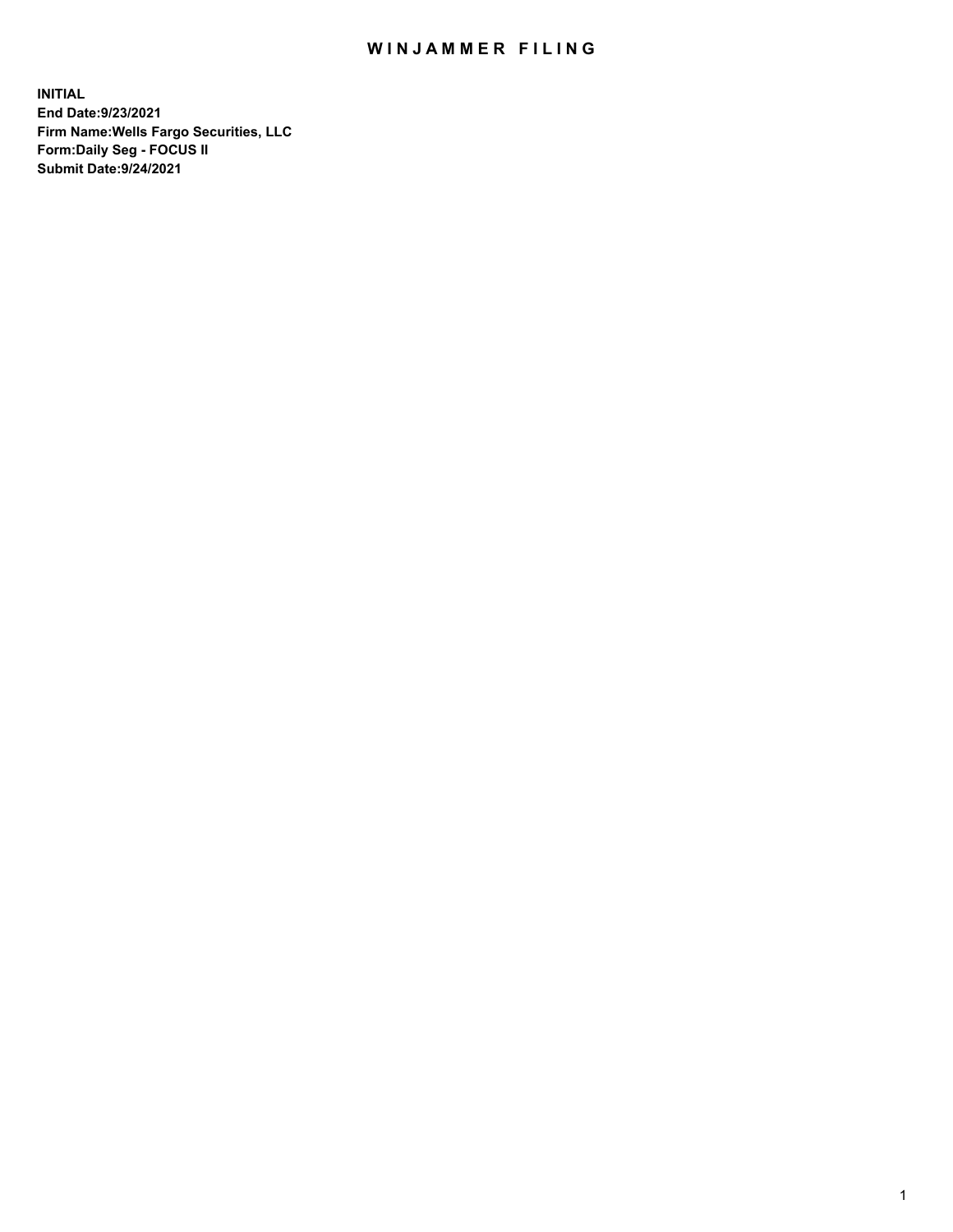## WIN JAMMER FILING

**INITIAL End Date:9/23/2021 Firm Name:Wells Fargo Securities, LLC Form:Daily Seg - FOCUS II Submit Date:9/24/2021**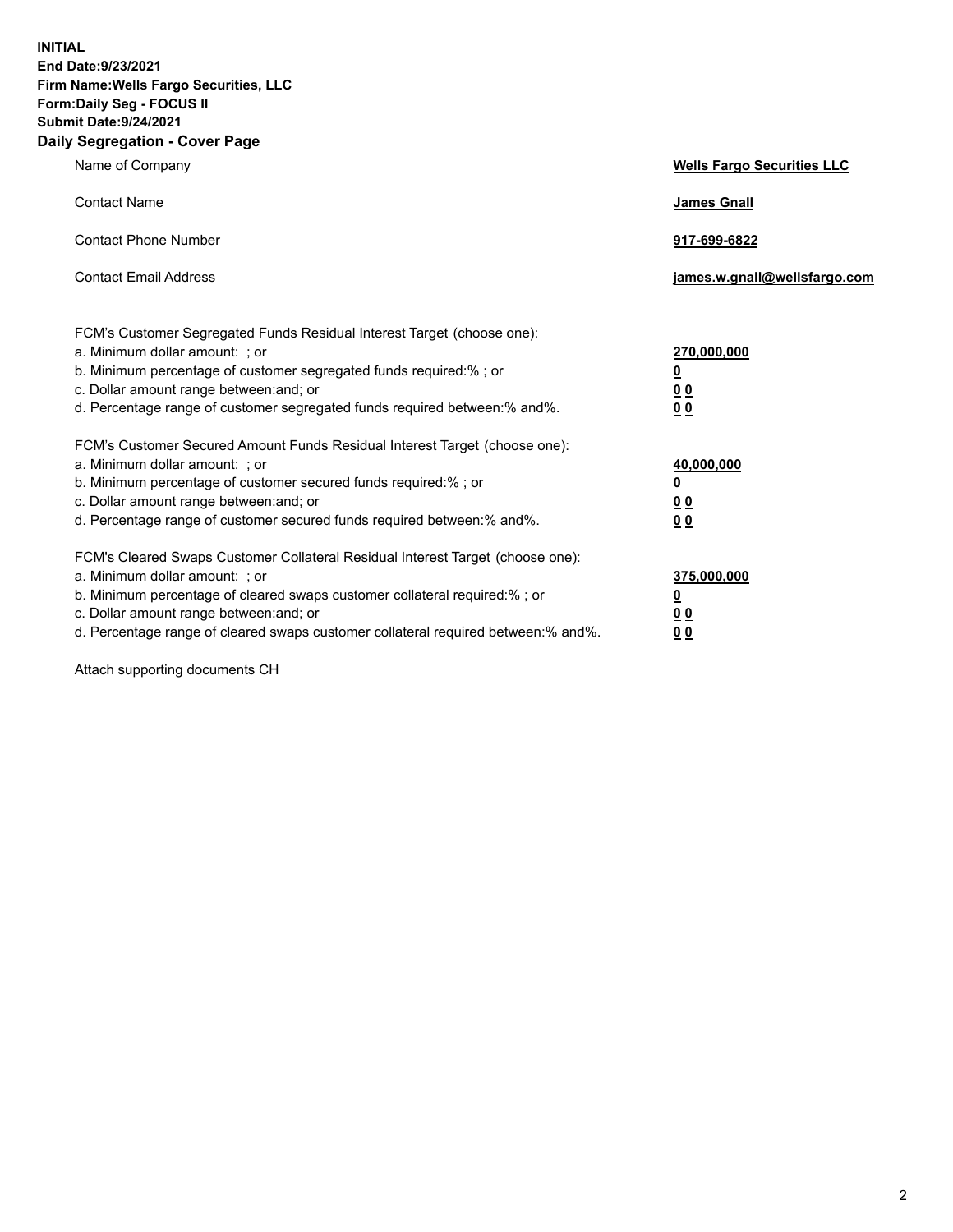**INITIAL End Date:9/23/2021 Firm Name:Wells Fargo Securities, LLC Form:Daily Seg - FOCUS II Submit Date:9/24/2021 Daily Segregation - Cover Page**

| Name of Company                                                                                                                                                                                                                                                                                                                | <b>Wells Fargo Securities LLC</b>                                          |
|--------------------------------------------------------------------------------------------------------------------------------------------------------------------------------------------------------------------------------------------------------------------------------------------------------------------------------|----------------------------------------------------------------------------|
| <b>Contact Name</b>                                                                                                                                                                                                                                                                                                            | <b>James Gnall</b>                                                         |
| <b>Contact Phone Number</b>                                                                                                                                                                                                                                                                                                    | 917-699-6822                                                               |
| <b>Contact Email Address</b>                                                                                                                                                                                                                                                                                                   | james.w.gnall@wellsfargo.com                                               |
| FCM's Customer Segregated Funds Residual Interest Target (choose one):<br>a. Minimum dollar amount: ; or<br>b. Minimum percentage of customer segregated funds required:% ; or<br>c. Dollar amount range between: and; or<br>d. Percentage range of customer segregated funds required between:% and%.                         | 270,000,000<br>$\underline{\mathbf{0}}$<br>00<br>00                        |
| FCM's Customer Secured Amount Funds Residual Interest Target (choose one):<br>a. Minimum dollar amount: ; or<br>b. Minimum percentage of customer secured funds required:%; or<br>c. Dollar amount range between: and; or<br>d. Percentage range of customer secured funds required between: % and %.                          | 40,000,000<br>$\underline{\mathbf{0}}$<br>0 <sub>0</sub><br>0 <sub>0</sub> |
| FCM's Cleared Swaps Customer Collateral Residual Interest Target (choose one):<br>a. Minimum dollar amount: ; or<br>b. Minimum percentage of cleared swaps customer collateral required:% ; or<br>c. Dollar amount range between: and; or<br>d. Percentage range of cleared swaps customer collateral required between:% and%. | 375,000,000<br><u>0</u><br>00<br><u>00</u>                                 |

Attach supporting documents CH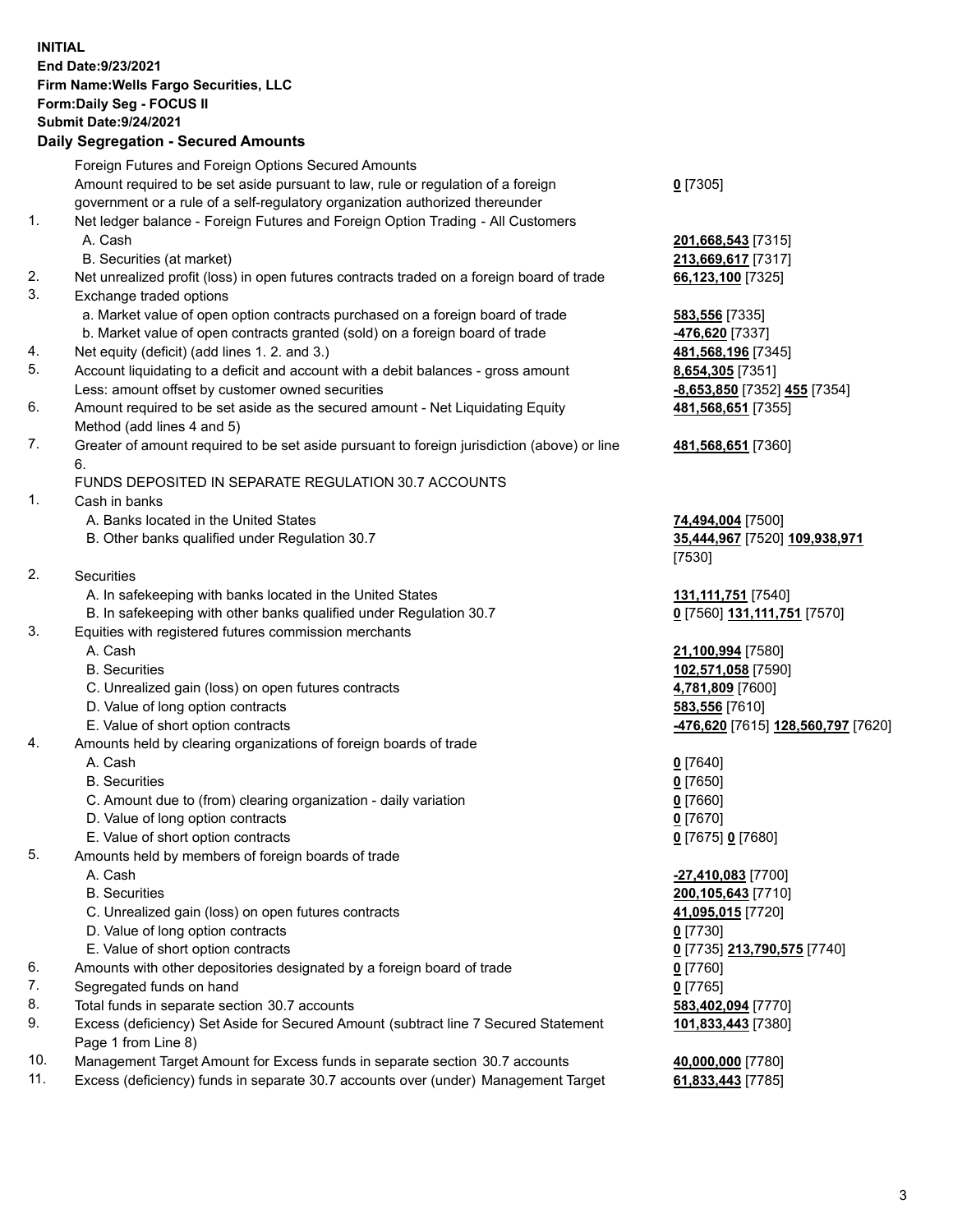**INITIAL End Date:9/23/2021 Firm Name:Wells Fargo Securities, LLC Form:Daily Seg - FOCUS II Submit Date:9/24/2021**

## **Daily Segregation - Secured Amounts**

|                               | Foreign Futures and Foreign Options Secured Amounts                                         |                                    |
|-------------------------------|---------------------------------------------------------------------------------------------|------------------------------------|
|                               | Amount required to be set aside pursuant to law, rule or regulation of a foreign            | $0$ [7305]                         |
|                               | government or a rule of a self-regulatory organization authorized thereunder                |                                    |
| 1.                            | Net ledger balance - Foreign Futures and Foreign Option Trading - All Customers             |                                    |
|                               | A. Cash                                                                                     | 201,668,543 [7315]                 |
|                               | B. Securities (at market)                                                                   | 213,669,617 [7317]                 |
| 2.                            | Net unrealized profit (loss) in open futures contracts traded on a foreign board of trade   | 66,123,100 [7325]                  |
| 3.                            | Exchange traded options                                                                     |                                    |
|                               | a. Market value of open option contracts purchased on a foreign board of trade              | 583,556 [7335]                     |
|                               | b. Market value of open contracts granted (sold) on a foreign board of trade                | -476,620 [7337]                    |
| 4.                            | Net equity (deficit) (add lines 1. 2. and 3.)                                               | 481,568,196 [7345]                 |
| 5.                            | Account liquidating to a deficit and account with a debit balances - gross amount           | 8,654,305 [7351]                   |
|                               | Less: amount offset by customer owned securities                                            | -8,653,850 [7352] 455 [7354]       |
| 6.                            | Amount required to be set aside as the secured amount - Net Liquidating Equity              | 481,568,651 [7355]                 |
|                               | Method (add lines 4 and 5)                                                                  |                                    |
| 7.                            | Greater of amount required to be set aside pursuant to foreign jurisdiction (above) or line | 481,568,651 [7360]                 |
|                               | 6.                                                                                          |                                    |
|                               | FUNDS DEPOSITED IN SEPARATE REGULATION 30.7 ACCOUNTS                                        |                                    |
| 1.                            | Cash in banks                                                                               |                                    |
|                               | A. Banks located in the United States                                                       | 74,494,004 [7500]                  |
|                               | B. Other banks qualified under Regulation 30.7                                              | 35,444,967 [7520] 109,938,971      |
|                               |                                                                                             | [7530]                             |
| 2.                            | <b>Securities</b>                                                                           |                                    |
|                               | A. In safekeeping with banks located in the United States                                   | 131, 111, 751 [7540]               |
|                               | B. In safekeeping with other banks qualified under Regulation 30.7                          | 0 [7560] 131,111,751 [7570]        |
| 3.                            | Equities with registered futures commission merchants                                       |                                    |
|                               | A. Cash                                                                                     | 21,100,994 [7580]                  |
|                               | <b>B.</b> Securities                                                                        | 102,571,058 [7590]                 |
|                               | C. Unrealized gain (loss) on open futures contracts                                         | 4,781,809 [7600]                   |
|                               | D. Value of long option contracts                                                           | 583,556 [7610]                     |
|                               | E. Value of short option contracts                                                          | -476,620 [7615] 128,560,797 [7620] |
| 4.                            | Amounts held by clearing organizations of foreign boards of trade                           |                                    |
|                               | A. Cash                                                                                     | $0$ [7640]                         |
|                               | <b>B.</b> Securities                                                                        | $0$ [7650]                         |
|                               | C. Amount due to (from) clearing organization - daily variation                             | $0$ [7660]                         |
|                               | D. Value of long option contracts                                                           | $0$ [7670]                         |
|                               | E. Value of short option contracts                                                          | 0 [7675] 0 [7680]                  |
| 5.                            | Amounts held by members of foreign boards of trade                                          |                                    |
|                               | A. Cash                                                                                     | -27,410,083 [7700]                 |
|                               | <b>B.</b> Securities                                                                        | 200,105,643 [7710]                 |
|                               | C. Unrealized gain (loss) on open futures contracts                                         | 41,095,015 [7720]                  |
|                               | D. Value of long option contracts                                                           | $0$ [7730]                         |
|                               | E. Value of short option contracts                                                          | 0 [7735] 213,790,575 [7740]        |
| 6.                            | Amounts with other depositories designated by a foreign board of trade                      | $0$ [7760]                         |
| 7.                            | Segregated funds on hand                                                                    | $0$ [7765]                         |
| 8.                            | Total funds in separate section 30.7 accounts                                               | 583,402,094 [7770]                 |
| 9.                            | Excess (deficiency) Set Aside for Secured Amount (subtract line 7 Secured Statement         | 101,833,443 [7380]                 |
|                               | Page 1 from Line 8)                                                                         |                                    |
| $\overline{A}$ $\overline{C}$ |                                                                                             |                                    |

- 10. Management Target Amount for Excess funds in separate section 30.7 accounts **40,000,000** [7780]
- 11. Excess (deficiency) funds in separate 30.7 accounts over (under) Management Target **61,833,443** [7785]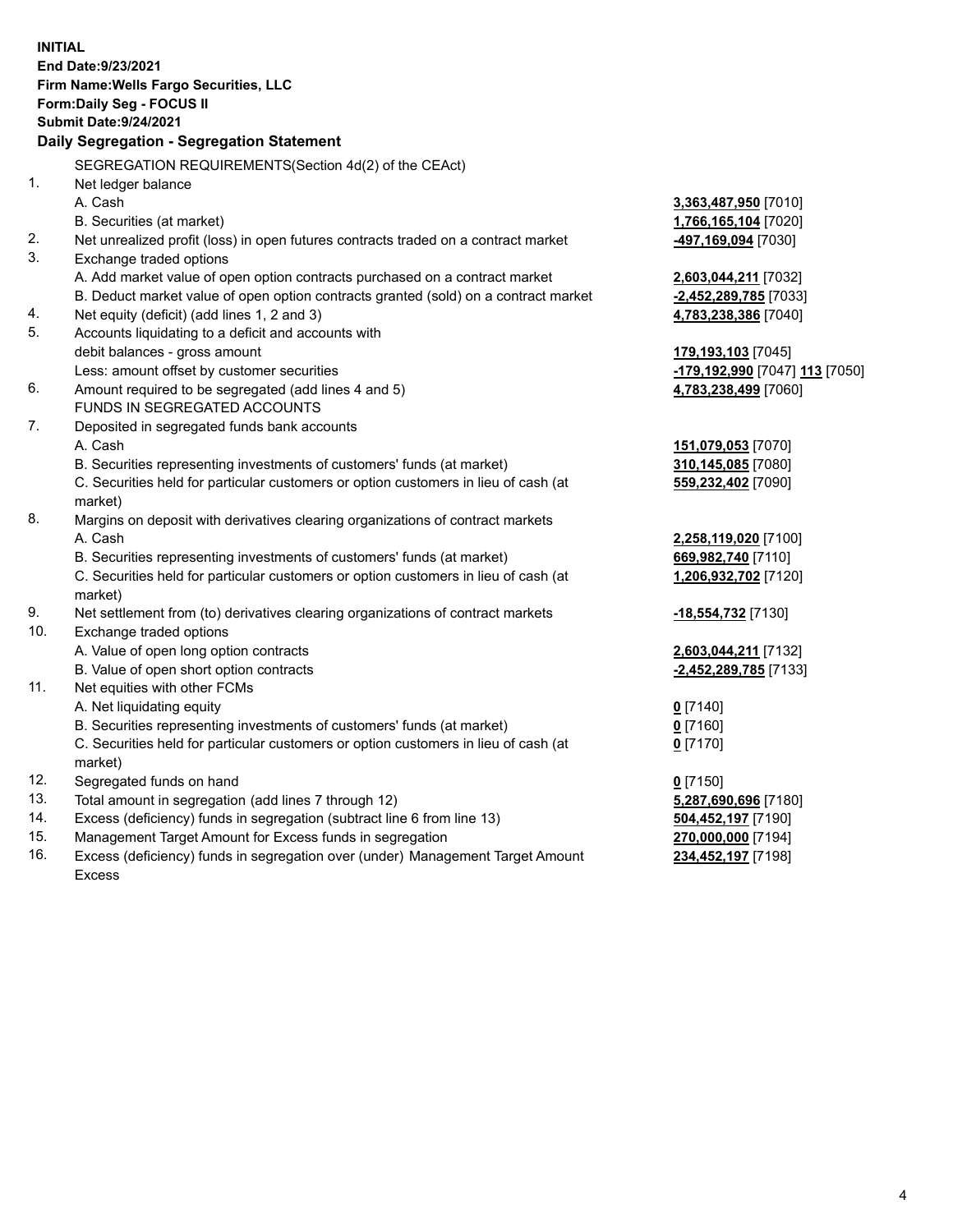**INITIAL End Date:9/23/2021 Firm Name:Wells Fargo Securities, LLC Form:Daily Seg - FOCUS II Submit Date:9/24/2021 Daily Segregation - Segregation Statement** SEGREGATION REQUIREMENTS(Section 4d(2) of the CEAct) 1. Net ledger balance A. Cash **3,363,487,950** [7010] B. Securities (at market) **1,766,165,104** [7020] 2. Net unrealized profit (loss) in open futures contracts traded on a contract market **-497,169,094** [7030] 3. Exchange traded options A. Add market value of open option contracts purchased on a contract market **2,603,044,211** [7032] B. Deduct market value of open option contracts granted (sold) on a contract market **-2,452,289,785** [7033] 4. Net equity (deficit) (add lines 1, 2 and 3) **4,783,238,386** [7040] 5. Accounts liquidating to a deficit and accounts with debit balances - gross amount **179,193,103** [7045] Less: amount offset by customer securities **-179,192,990** [7047] **113** [7050] 6. Amount required to be segregated (add lines 4 and 5) **4,783,238,499** [7060] FUNDS IN SEGREGATED ACCOUNTS 7. Deposited in segregated funds bank accounts A. Cash **151,079,053** [7070] B. Securities representing investments of customers' funds (at market) **310,145,085** [7080] C. Securities held for particular customers or option customers in lieu of cash (at market) **559,232,402** [7090] 8. Margins on deposit with derivatives clearing organizations of contract markets A. Cash **2,258,119,020** [7100] B. Securities representing investments of customers' funds (at market) **669,982,740** [7110] C. Securities held for particular customers or option customers in lieu of cash (at market) **1,206,932,702** [7120] 9. Net settlement from (to) derivatives clearing organizations of contract markets **-18,554,732** [7130] 10. Exchange traded options A. Value of open long option contracts **2,603,044,211** [7132] B. Value of open short option contracts **-2,452,289,785** [7133] 11. Net equities with other FCMs A. Net liquidating equity **0** [7140] B. Securities representing investments of customers' funds (at market) **0** [7160] C. Securities held for particular customers or option customers in lieu of cash (at market) **0** [7170] 12. Segregated funds on hand **0** [7150] 13. Total amount in segregation (add lines 7 through 12) **5,287,690,696** [7180] 14. Excess (deficiency) funds in segregation (subtract line 6 from line 13) **504,452,197** [7190] 15. Management Target Amount for Excess funds in segregation **270,000,000** [7194]

16. Excess (deficiency) funds in segregation over (under) Management Target Amount Excess

**234,452,197** [7198]